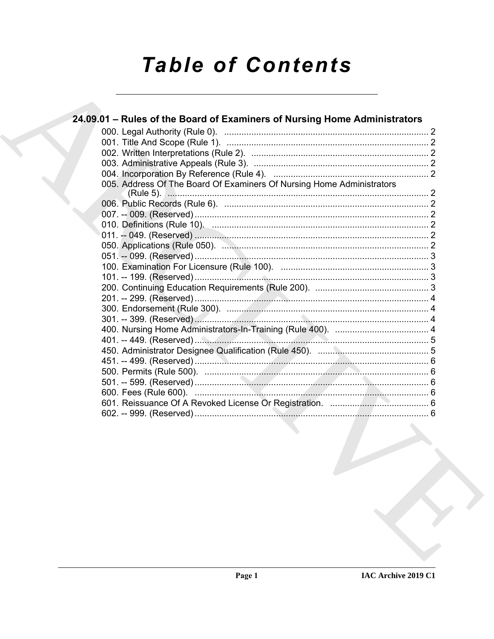# **Table of Contents**

| 24.09.01 - Rules of the Board of Examiners of Nursing Home Administrators |  |
|---------------------------------------------------------------------------|--|
|                                                                           |  |
|                                                                           |  |
|                                                                           |  |
|                                                                           |  |
|                                                                           |  |
| 005. Address Of The Board Of Examiners Of Nursing Home Administrators     |  |
|                                                                           |  |
|                                                                           |  |
|                                                                           |  |
|                                                                           |  |
|                                                                           |  |
|                                                                           |  |
|                                                                           |  |
|                                                                           |  |
|                                                                           |  |
|                                                                           |  |
|                                                                           |  |
|                                                                           |  |
|                                                                           |  |
|                                                                           |  |
|                                                                           |  |
|                                                                           |  |
|                                                                           |  |
|                                                                           |  |
|                                                                           |  |
|                                                                           |  |
|                                                                           |  |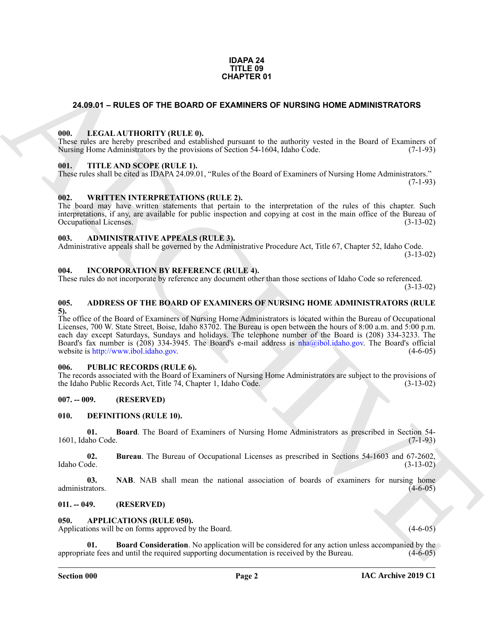#### **IDAPA 24 TITLE 09 CHAPTER 01**

### <span id="page-1-21"></span><span id="page-1-0"></span>**24.09.01 – RULES OF THE BOARD OF EXAMINERS OF NURSING HOME ADMINISTRATORS**

#### <span id="page-1-1"></span>**000. LEGAL AUTHORITY (RULE 0).**

These rules are hereby prescribed and established pursuant to the authority vested in the Board of Examiners of Nursing Home Administrators by the provisions of Section 54-1604, Idaho Code. (7-1-93) Nursing Home Administrators by the provisions of Section 54-1604, Idaho Code.

#### <span id="page-1-23"></span><span id="page-1-2"></span>**001. TITLE AND SCOPE (RULE 1).**

These rules shall be cited as IDAPA 24.09.01, "Rules of the Board of Examiners of Nursing Home Administrators."  $(7-1-93)$ 

#### <span id="page-1-24"></span><span id="page-1-3"></span>**002. WRITTEN INTERPRETATIONS (RULE 2).**

The board may have written statements that pertain to the interpretation of the rules of this chapter. Such interpretations, if any, are available for public inspection and copying at cost in the main office of the Bureau of Occupational Licenses. (3-13-02)

#### <span id="page-1-13"></span><span id="page-1-4"></span>**003. ADMINISTRATIVE APPEALS (RULE 3).**

Administrative appeals shall be governed by the Administrative Procedure Act, Title 67, Chapter 52, Idaho Code. (3-13-02)

# <span id="page-1-20"></span><span id="page-1-5"></span>**004. INCORPORATION BY REFERENCE (RULE 4).**

These rules do not incorporate by reference any document other than those sections of Idaho Code so referenced. (3-13-02)

#### <span id="page-1-12"></span><span id="page-1-6"></span>**005. ADDRESS OF THE BOARD OF EXAMINERS OF NURSING HOME ADMINISTRATORS (RULE 5).**

**24.09.01 – RULES OF THE BOARD OF EXAMINERS OF NURSING HOME ADMINISTRATORS**<br>
(III). However, a longer measure and conducted promotive reactions to the material in the formulation of the material of the stress of the stres The office of the Board of Examiners of Nursing Home Administrators is located within the Bureau of Occupational Licenses, 700 W. State Street, Boise, Idaho 83702. The Bureau is open between the hours of 8:00 a.m. and 5:00 p.m. each day except Saturdays, Sundays and holidays. The telephone number of the Board is (208) 334-3233. The Board's fax number is (208) 334-3945. The Board's e-mail address is nha@ibol.idaho.gov. The Board's official website is http://www.ibol.idaho.gov. (4-6-05)

#### <span id="page-1-22"></span><span id="page-1-7"></span>**006. PUBLIC RECORDS (RULE 6).**

The records associated with the Board of Examiners of Nursing Home Administrators are subject to the provisions of the Idaho Public Records Act, Title 74, Chapter 1, Idaho Code. (3-13-02)

### <span id="page-1-8"></span>**007. -- 009. (RESERVED)**

#### <span id="page-1-16"></span><span id="page-1-9"></span>**010. DEFINITIONS (RULE 10).**

<span id="page-1-17"></span>**01. Board**. The Board of Examiners of Nursing Home Administrators as prescribed in Section 54- 1601, Idaho Code. (7-1-93)

<span id="page-1-18"></span>**02. Bureau**. The Bureau of Occupational Licenses as prescribed in Sections 54-1603 and 67-2602, Idaho Code. (3-13-02)

<span id="page-1-19"></span>**03. NAB**. NAB shall mean the national association of boards of examiners for nursing home administrators. (4-6-05)

#### <span id="page-1-10"></span>**011. -- 049. (RESERVED)**

<span id="page-1-14"></span><span id="page-1-11"></span>**050. APPLICATIONS (RULE 050).**

Applications will be on forms approved by the Board. (4-6-05) (4-6-05)

<span id="page-1-15"></span>**01. Board Consideration**. No application will be considered for any action unless accompanied by the appropriate fees and until the required supporting documentation is received by the Bureau. (4-6-05)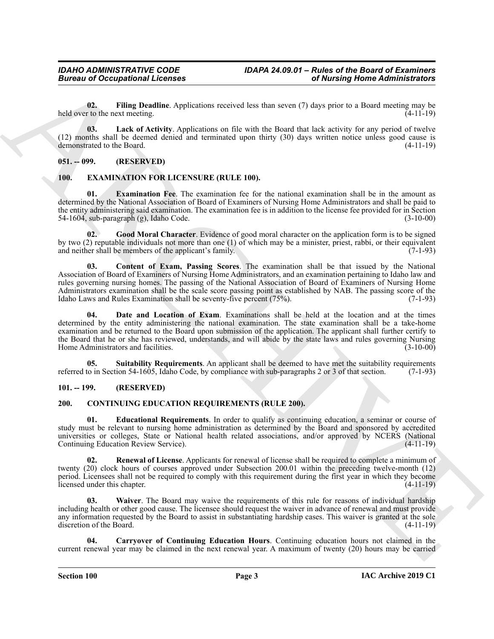# *Bureau of Occupational Licenses*

<span id="page-2-4"></span>**02. Filing Deadline**. Applications received less than seven (7) days prior to a Board meeting may be held over to the next meeting. (4-11-19)

<span id="page-2-5"></span>**03. Lack of Activity**. Applications on file with the Board that lack activity for any period of twelve (12) months shall be deemed denied and terminated upon thirty (30) days written notice unless good cause is demonstrated to the Board.  $(4-11-19)$ demonstrated to the Board.

# <span id="page-2-0"></span>**051. -- 099. (RESERVED)**

# <span id="page-2-11"></span><span id="page-2-1"></span>**100. EXAMINATION FOR LICENSURE (RULE 100).**

<span id="page-2-14"></span>**01. Examination Fee**. The examination fee for the national examination shall be in the amount as determined by the National Association of Board of Examiners of Nursing Home Administrators and shall be paid to the entity administering said examination. The examination fee is in addition to the license fee provided for in Section 54-1604, sub-paragraph (g), Idaho Code. (3-10-00)

<span id="page-2-15"></span><span id="page-2-12"></span>**02. Good Moral Character**. Evidence of good moral character on the application form is to be signed by two (2) reputable individuals not more than one (1) of which may be a minister, priest, rabbi, or their equivalent and neither shall be members of the applicant's family. (7-1-93)

**Extracted the Contract of Alternal Contract Contract of Alternal Contract of Alternal Contract of Alternal Contract of Alternal Contract of Alternal Contract of Alternal Contract of Alternal Contract of Alternal Contract 03. Content of Exam, Passing Scores**. The examination shall be that issued by the National Association of Board of Examiners of Nursing Home Administrators, and an examination pertaining to Idaho law and rules governing nursing homes. The passing of the National Association of Board of Examiners of Nursing Home Administrators examination shall be the scale score passing point as established by NAB. The passing score of the Idaho Laws and Rules Examination shall be seventy-five percent (75%). Idaho Laws and Rules Examination shall be seventy-five percent  $(75%)$ .

<span id="page-2-13"></span>Date and Location of Exam. Examinations shall be held at the location and at the times determined by the entity administering the national examination. The state examination shall be a take-home examination and be returned to the Board upon submission of the application. The applicant shall further certify to the Board that he or she has reviewed, understands, and will abide by the state laws and rules governing Nursing Home Administrators and facilities. (3-10-00)

<span id="page-2-16"></span>**05.** Suitability Requirements. An applicant shall be deemed to have met the suitability requirements to in Section 54-1605. Idaho Code, by compliance with sub-paragraphs 2 or 3 of that section. (7-1-93) referred to in Section 54-1605, Idaho Code, by compliance with sub-paragraphs 2 or 3 of that section.

# <span id="page-2-2"></span>**101. -- 199. (RESERVED)**

# <span id="page-2-6"></span><span id="page-2-3"></span>**200. CONTINUING EDUCATION REQUIREMENTS (RULE 200).**

<span id="page-2-8"></span>**01. Educational Requirements**. In order to qualify as continuing education, a seminar or course of study must be relevant to nursing home administration as determined by the Board and sponsored by accredited universities or colleges, State or National health related associations, and/or approved by NCERS (National Continuing Education Review Service). (4-11-19) Continuing Education Review Service).

<span id="page-2-9"></span>**02. Renewal of License**. Applicants for renewal of license shall be required to complete a minimum of twenty (20) clock hours of courses approved under Subsection 200.01 within the preceding twelve-month (12) period. Licensees shall not be required to comply with this requirement during the first year in which they become licensed under this chapter. (4-11-19) licensed under this chapter.

<span id="page-2-10"></span>**03. Waiver**. The Board may waive the requirements of this rule for reasons of individual hardship including health or other good cause. The licensee should request the waiver in advance of renewal and must provide any information requested by the Board to assist in substantiating hardship cases. This waiver is granted at the sole discretion of the Board. (4-11-19)

<span id="page-2-7"></span>**04. Carryover of Continuing Education Hours**. Continuing education hours not claimed in the current renewal year may be claimed in the next renewal year. A maximum of twenty (20) hours may be carried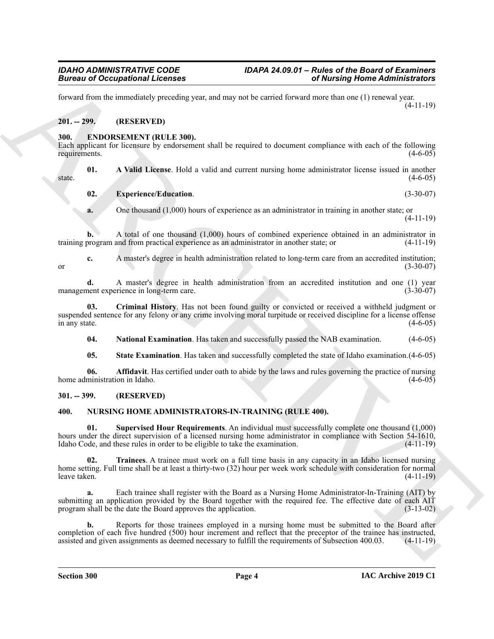forward from the immediately preceding year, and may not be carried forward more than one (1) renewal year. (4-11-19)

### <span id="page-3-0"></span>**201. -- 299. (RESERVED)**

#### <span id="page-3-4"></span><span id="page-3-1"></span>**300. ENDORSEMENT (RULE 300).**

Each applicant for licensure by endorsement shall be required to document compliance with each of the following requirements. (4-6-05) requirements. (4-6-05)

**01. A Valid License**. Hold a valid and current nursing home administrator license issued in another  $s$  state.  $(4-6-05)$ 

#### <span id="page-3-8"></span><span id="page-3-5"></span>**02. Experience/Education**. (3-30-07)

**a.** One thousand (1,000) hours of experience as an administrator in training in another state; or (4-11-19)

**b.** A total of one thousand (1,000) hours of combined experience obtained in an administrator in training program and from practical experience as an administrator in another state; or (4-11-19)

**c.** A master's degree in health administration related to long-term care from an accredited institution; (3-30-07) or  $(3-30-07)$ 

**d.** A master's degree in health administration from an accredited institution and one (1) year management experience in long-term care. (3-30-07)

**03. Criminal History**. Has not been found guilty or convicted or received a withheld judgment or suspended sentence for any felony or any crime involving moral turpitude or received discipline for a license offense<br>(4-6-05) (4-6-05) in any state.  $(4-6-05)$ 

<span id="page-3-10"></span><span id="page-3-9"></span><span id="page-3-7"></span>**04. National Examination**. Has taken and successfully passed the NAB examination. (4-6-05)

<span id="page-3-6"></span>**05. State Examination**. Has taken and successfully completed the state of Idaho examination.(4-6-05)

**06. Affidavit**. Has certified under oath to abide by the laws and rules governing the practice of nursing home administration in Idaho. (4-6-05)

# <span id="page-3-2"></span>**301. -- 399. (RESERVED)**

# <span id="page-3-12"></span><span id="page-3-11"></span><span id="page-3-3"></span>**400. NURSING HOME ADMINISTRATORS-IN-TRAINING (RULE 400).**

<span id="page-3-13"></span>**01. Supervised Hour Requirements**. An individual must successfully complete one thousand (1,000) hours under the direct supervision of a licensed nursing home administrator in compliance with Section 54-1610, Idaho Code, and these rules in order to be eligible to take the examination. (4-11-19) Idaho Code, and these rules in order to be eligible to take the examination.

Biomas of Occupations I Leonards<br>
Sources of Occupations I Leonards<br>
Sources of the MISSIN PROPERTY and the state of the MISSIN PROPERTY (11-19)<br>
ARCHIVE SURFACE UP (11-19)<br>
ARCHIVE SURFACE UP (11-19)<br>
ARCHIVE SURFACE UP **02. Trainees**. A trainee must work on a full time basis in any capacity in an Idaho licensed nursing home setting. Full time shall be at least a thirty-two (32) hour per week work schedule with consideration for normal leave taken. (4-11-19)

**a.** Each trainee shall register with the Board as a Nursing Home Administrator-In-Training (AIT) by submitting an application provided by the Board together with the required fee. The effective date of each AIT program shall be the date the Board approves the application. (3-13-02)

**b.** Reports for those trainees employed in a nursing home must be submitted to the Board after completion of each five hundred (500) hour increment and reflect that the preceptor of the trainee has instructed, assisted and given assignments as deemed necessary to fulfill the requirements of Subsection 400.03. (4-11-19)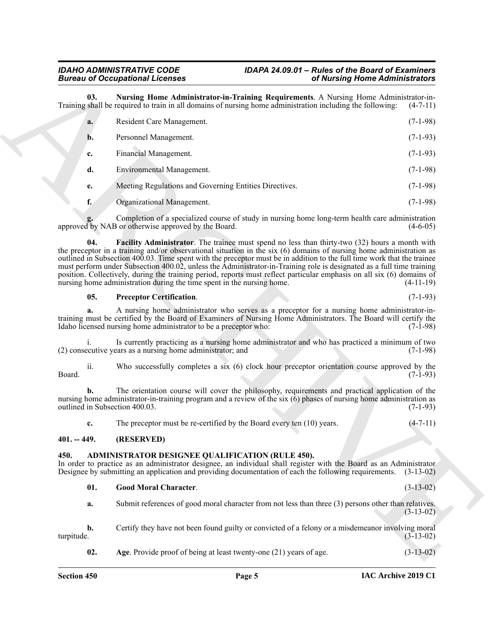# *Bureau of Occupational Licenses*

# <span id="page-4-6"></span>*IDAHO ADMINISTRATIVE CODE IDAPA 24.09.01 – Rules of the Board of Examiners*

|                                      | <b>Bureau of Occupational Licenses</b>                                                                                                                                                                                                                                                                                                                                                                                                                                                                                                                                                                                                                                                  | of Nursing Home Administrators |  |
|--------------------------------------|-----------------------------------------------------------------------------------------------------------------------------------------------------------------------------------------------------------------------------------------------------------------------------------------------------------------------------------------------------------------------------------------------------------------------------------------------------------------------------------------------------------------------------------------------------------------------------------------------------------------------------------------------------------------------------------------|--------------------------------|--|
| 03.                                  | Nursing Home Administrator-in-Training Requirements. A Nursing Home Administrator-in-<br>Training shall be required to train in all domains of nursing home administration including the following:                                                                                                                                                                                                                                                                                                                                                                                                                                                                                     | $(4-7-11)$                     |  |
| a.                                   | Resident Care Management.                                                                                                                                                                                                                                                                                                                                                                                                                                                                                                                                                                                                                                                               | $(7-1-98)$                     |  |
| b.                                   | Personnel Management.                                                                                                                                                                                                                                                                                                                                                                                                                                                                                                                                                                                                                                                                   | $(7-1-93)$                     |  |
| c.                                   | Financial Management.                                                                                                                                                                                                                                                                                                                                                                                                                                                                                                                                                                                                                                                                   | $(7-1-93)$                     |  |
| d.                                   | Environmental Management.                                                                                                                                                                                                                                                                                                                                                                                                                                                                                                                                                                                                                                                               | $(7-1-98)$                     |  |
| e.                                   | Meeting Regulations and Governing Entities Directives.                                                                                                                                                                                                                                                                                                                                                                                                                                                                                                                                                                                                                                  | $(7-1-98)$                     |  |
| f.                                   | Organizational Management.                                                                                                                                                                                                                                                                                                                                                                                                                                                                                                                                                                                                                                                              | $(7-1-98)$                     |  |
|                                      | Completion of a specialized course of study in nursing home long-term health care administration<br>approved by NAB or otherwise approved by the Board.                                                                                                                                                                                                                                                                                                                                                                                                                                                                                                                                 | $(4-6-05)$                     |  |
| 04.                                  | <b>Facility Administrator</b> . The trainee must spend no less than thirty-two (32) hours a month with<br>the preceptor in a training and/or observational situation in the six $(6)$ domains of nursing home administration as<br>outlined in Subsection 400.03. Time spent with the preceptor must be in addition to the full time work that the trainee<br>must perform under Subsection 400.02, unless the Administrator-in-Training role is designated as a full time training<br>position. Collectively, during the training period, reports must reflect particular emphasis on all six (6) domains of<br>nursing home administration during the time spent in the nursing home. | $(4-11-19)$                    |  |
| 05.                                  | <b>Preceptor Certification.</b>                                                                                                                                                                                                                                                                                                                                                                                                                                                                                                                                                                                                                                                         | $(7-1-93)$                     |  |
| a.                                   | A nursing home administrator who serves as a preceptor for a nursing home administrator-in-<br>training must be certified by the Board of Examiners of Nursing Home Administrators. The Board will certify the<br>Idaho licensed nursing home administrator to be a preceptor who:                                                                                                                                                                                                                                                                                                                                                                                                      | $(7-1-98)$                     |  |
|                                      | Is currently practicing as a nursing home administrator and who has practiced a minimum of two<br>(2) consecutive years as a nursing home administrator; and                                                                                                                                                                                                                                                                                                                                                                                                                                                                                                                            | $(7-1-98)$                     |  |
| ii.<br>Board.                        | Who successfully completes a six (6) clock hour preceptor orientation course approved by the                                                                                                                                                                                                                                                                                                                                                                                                                                                                                                                                                                                            | $(7-1-93)$                     |  |
| b.<br>outlined in Subsection 400.03. | The orientation course will cover the philosophy, requirements and practical application of the<br>nursing home administrator-in-training program and a review of the six (6) phases of nursing home administration as                                                                                                                                                                                                                                                                                                                                                                                                                                                                  | $(7-1-93)$                     |  |
| c.                                   | The preceptor must be re-certified by the Board every ten $(10)$ years.                                                                                                                                                                                                                                                                                                                                                                                                                                                                                                                                                                                                                 | $(4-7-11)$                     |  |
| $401. - 449.$                        | (RESERVED)                                                                                                                                                                                                                                                                                                                                                                                                                                                                                                                                                                                                                                                                              |                                |  |
| 450.                                 | ADMINISTRATOR DESIGNEE QUALIFICATION (RULE 450).<br>In order to practice as an administrator designee, an individual shall register with the Board as an Administrator<br>Designee by submitting an application and providing documentation of each the following requirements.                                                                                                                                                                                                                                                                                                                                                                                                         | $(3-13-02)$                    |  |
| 01.                                  | <b>Good Moral Character.</b>                                                                                                                                                                                                                                                                                                                                                                                                                                                                                                                                                                                                                                                            | $(3-13-02)$                    |  |
| a.                                   | Submit references of good moral character from not less than three (3) persons other than relatives.                                                                                                                                                                                                                                                                                                                                                                                                                                                                                                                                                                                    | $(3-13-02)$                    |  |
| b.<br>turpitude.                     | Certify they have not been found guilty or convicted of a felony or a misdemeanor involving moral                                                                                                                                                                                                                                                                                                                                                                                                                                                                                                                                                                                       | $(3-13-02)$                    |  |
|                                      |                                                                                                                                                                                                                                                                                                                                                                                                                                                                                                                                                                                                                                                                                         |                                |  |

#### <span id="page-4-7"></span><span id="page-4-5"></span>**05. Preceptor Certification**. (7-1-93)

#### <span id="page-4-0"></span>**401. -- 449. (RESERVED)**

#### <span id="page-4-2"></span><span id="page-4-1"></span>**450. ADMINISTRATOR DESIGNEE QUALIFICATION (RULE 450).**

#### <span id="page-4-4"></span><span id="page-4-3"></span>**01. Good Moral Character**. (3-13-02)

**IAC Archive 2019 C1**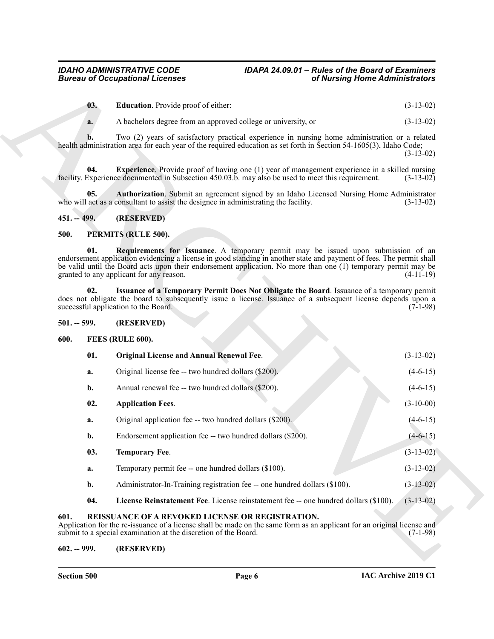<span id="page-5-8"></span><span id="page-5-7"></span>

| 03. | <b>Education.</b> Provide proof of either: | $(3-13-02)$ |
|-----|--------------------------------------------|-------------|
|-----|--------------------------------------------|-------------|

### <span id="page-5-6"></span><span id="page-5-0"></span>**451. -- 499. (RESERVED)**

### <span id="page-5-16"></span><span id="page-5-14"></span><span id="page-5-1"></span>**500. PERMITS (RULE 500).**

#### <span id="page-5-15"></span><span id="page-5-2"></span>**501. -- 599. (RESERVED)**

# <span id="page-5-12"></span><span id="page-5-10"></span><span id="page-5-9"></span><span id="page-5-3"></span>**600. FEES (RULE 600).**

|               | <b>Bureau of Occupational Licenses</b>                                                                                                                                                                                                                                                                                                                                  | of Nursing Home Administrators |
|---------------|-------------------------------------------------------------------------------------------------------------------------------------------------------------------------------------------------------------------------------------------------------------------------------------------------------------------------------------------------------------------------|--------------------------------|
| 03.           | Education. Provide proof of either:                                                                                                                                                                                                                                                                                                                                     | $(3-13-02)$                    |
| a.            | A bachelors degree from an approved college or university, or                                                                                                                                                                                                                                                                                                           | $(3-13-02)$                    |
|               | Two (2) years of satisfactory practical experience in nursing home administration or a related<br>health administration area for each year of the required education as set forth in Section 54-1605(3), Idaho Code;                                                                                                                                                    | $(3-13-02)$                    |
| 04.           | <b>Experience</b> . Provide proof of having one (1) year of management experience in a skilled nursing<br>facility. Experience documented in Subsection 450.03.b. may also be used to meet this requirement.                                                                                                                                                            | $(3-13-02)$                    |
| 05.           | Authorization. Submit an agreement signed by an Idaho Licensed Nursing Home Administrator<br>who will act as a consultant to assist the designee in administrating the facility.                                                                                                                                                                                        | $(3-13-02)$                    |
| $451. - 499.$ | (RESERVED)                                                                                                                                                                                                                                                                                                                                                              |                                |
| 500.          | PERMITS (RULE 500).                                                                                                                                                                                                                                                                                                                                                     |                                |
| 01.           | Requirements for Issuance. A temporary permit may be issued upon submission of an<br>endorsement application evidencing a license in good standing in another state and payment of fees. The permit shall<br>be valid until the Board acts upon their endorsement application. No more than one (1) temporary permit may be<br>granted to any applicant for any reason. | $(4-11-19)$                    |
| 02.           | Issuance of a Temporary Permit Does Not Obligate the Board. Issuance of a temporary permit<br>does not obligate the board to subsequently issue a license. Issuance of a subsequent license depends upon a<br>successful application to the Board.                                                                                                                      | $(7-1-98)$                     |
| $501. - 599.$ | (RESERVED)                                                                                                                                                                                                                                                                                                                                                              |                                |
| 600.          | FEES (RULE 600).                                                                                                                                                                                                                                                                                                                                                        |                                |
| 01.           | Original License and Annual Renewal Fee.                                                                                                                                                                                                                                                                                                                                | $(3-13-02)$                    |
| a.            | Original license fee -- two hundred dollars (\$200).                                                                                                                                                                                                                                                                                                                    | $(4-6-15)$                     |
| b.            | Annual renewal fee -- two hundred dollars (\$200).                                                                                                                                                                                                                                                                                                                      | $(4-6-15)$                     |
| 02.           | <b>Application Fees.</b>                                                                                                                                                                                                                                                                                                                                                | $(3-10-00)$                    |
| a.            | Original application fee -- two hundred dollars (\$200).                                                                                                                                                                                                                                                                                                                | $(4-6-15)$                     |
| b.            | Endorsement application fee -- two hundred dollars (\$200).                                                                                                                                                                                                                                                                                                             | $(4-6-15)$                     |
| 03.           | <b>Temporary Fee.</b>                                                                                                                                                                                                                                                                                                                                                   | $(3-13-02)$                    |
| a.            | Temporary permit fee -- one hundred dollars (\$100).                                                                                                                                                                                                                                                                                                                    | $(3-13-02)$                    |
| b.            | Administrator-In-Training registration fee -- one hundred dollars (\$100).                                                                                                                                                                                                                                                                                              | $(3-13-02)$                    |
|               | License Reinstatement Fee. License reinstatement fee -- one hundred dollars (\$100).                                                                                                                                                                                                                                                                                    | $(3-13-02)$                    |
| 04.           |                                                                                                                                                                                                                                                                                                                                                                         |                                |
| 601.          | REISSUANCE OF A REVOKED LICENSE OR REGISTRATION.<br>Application for the re-issuance of a license shall be made on the same form as an applicant for an original license and<br>submit to a special examination at the discretion of the Board.                                                                                                                          | $(7-1-98)$                     |

### <span id="page-5-17"></span><span id="page-5-13"></span><span id="page-5-11"></span><span id="page-5-4"></span>Application for the re-issuance of a license shall be made on the same form as an applicant for an original license and submit to a special examination at the discretion of the Board. (7-1-98) submit to a special examination at the discretion of the Board.

# <span id="page-5-5"></span>**602. -- 999. (RESERVED)**